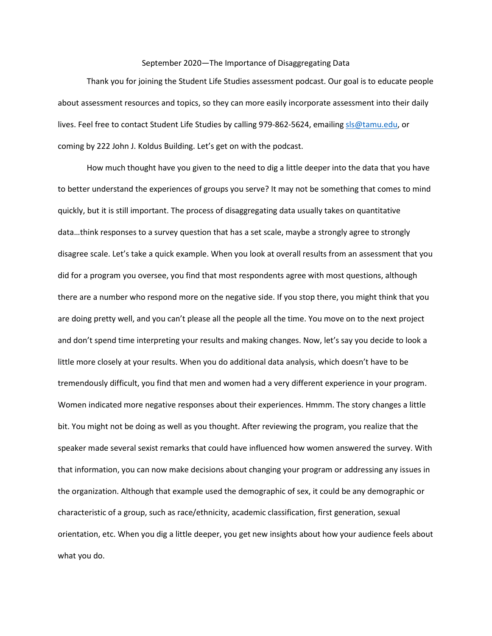## September 2020—The Importance of Disaggregating Data

Thank you for joining the Student Life Studies assessment podcast. Our goal is to educate people about assessment resources and topics, so they can more easily incorporate assessment into their daily lives. Feel free to contact Student Life Studies by calling 979-862-5624, emailin[g sls@tamu.edu,](mailto:sls@tamu.edu) or coming by 222 John J. Koldus Building. Let's get on with the podcast.

How much thought have you given to the need to dig a little deeper into the data that you have to better understand the experiences of groups you serve? It may not be something that comes to mind quickly, but it is still important. The process of disaggregating data usually takes on quantitative data…think responses to a survey question that has a set scale, maybe a strongly agree to strongly disagree scale. Let's take a quick example. When you look at overall results from an assessment that you did for a program you oversee, you find that most respondents agree with most questions, although there are a number who respond more on the negative side. If you stop there, you might think that you are doing pretty well, and you can't please all the people all the time. You move on to the next project and don't spend time interpreting your results and making changes. Now, let's say you decide to look a little more closely at your results. When you do additional data analysis, which doesn't have to be tremendously difficult, you find that men and women had a very different experience in your program. Women indicated more negative responses about their experiences. Hmmm. The story changes a little bit. You might not be doing as well as you thought. After reviewing the program, you realize that the speaker made several sexist remarks that could have influenced how women answered the survey. With that information, you can now make decisions about changing your program or addressing any issues in the organization. Although that example used the demographic of sex, it could be any demographic or characteristic of a group, such as race/ethnicity, academic classification, first generation, sexual orientation, etc. When you dig a little deeper, you get new insights about how your audience feels about what you do.